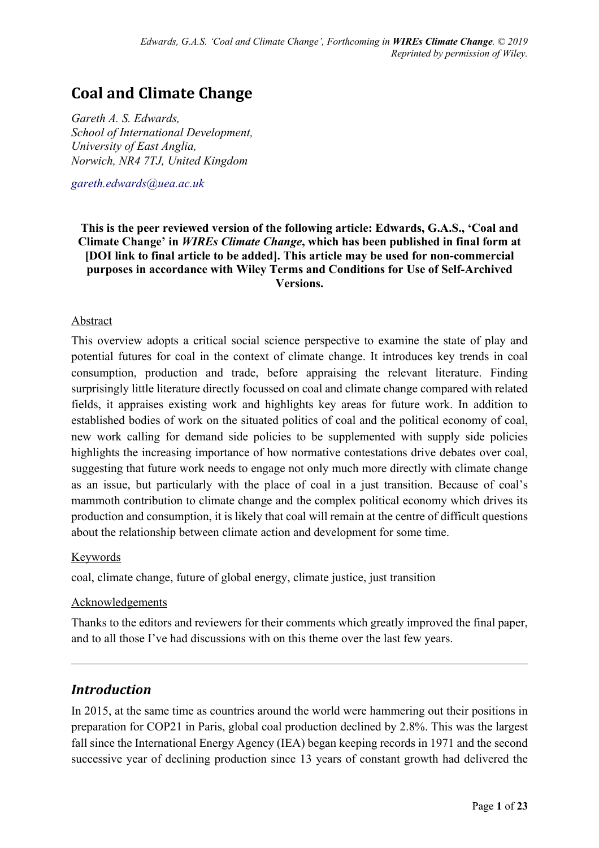# **Coal and Climate Change**

*Gareth A. S. Edwards, School of International Development, University of East Anglia, Norwich, NR4 7TJ, United Kingdom*

*gareth.edwards@uea.ac.uk*

**This is the peer reviewed version of the following article: Edwards, G.A.S., 'Coal and Climate Change' in** *WIREs Climate Change***, which has been published in final form at [DOI link to final article to be added]. This article may be used for non-commercial purposes in accordance with Wiley Terms and Conditions for Use of Self-Archived Versions.**

#### Abstract

This overview adopts a critical social science perspective to examine the state of play and potential futures for coal in the context of climate change. It introduces key trends in coal consumption, production and trade, before appraising the relevant literature. Finding surprisingly little literature directly focussed on coal and climate change compared with related fields, it appraises existing work and highlights key areas for future work. In addition to established bodies of work on the situated politics of coal and the political economy of coal, new work calling for demand side policies to be supplemented with supply side policies highlights the increasing importance of how normative contestations drive debates over coal, suggesting that future work needs to engage not only much more directly with climate change as an issue, but particularly with the place of coal in a just transition. Because of coal's mammoth contribution to climate change and the complex political economy which drives its production and consumption, it is likely that coal will remain at the centre of difficult questions about the relationship between climate action and development for some time.

#### Keywords

coal, climate change, future of global energy, climate justice, just transition

#### Acknowledgements

Thanks to the editors and reviewers for their comments which greatly improved the final paper, and to all those I've had discussions with on this theme over the last few years.

## *Introduction*

In 2015, at the same time as countries around the world were hammering out their positions in preparation for COP21 in Paris, global coal production declined by 2.8%. This was the largest fall since the International Energy Agency (IEA) began keeping records in 1971 and the second successive year of declining production since 13 years of constant growth had delivered the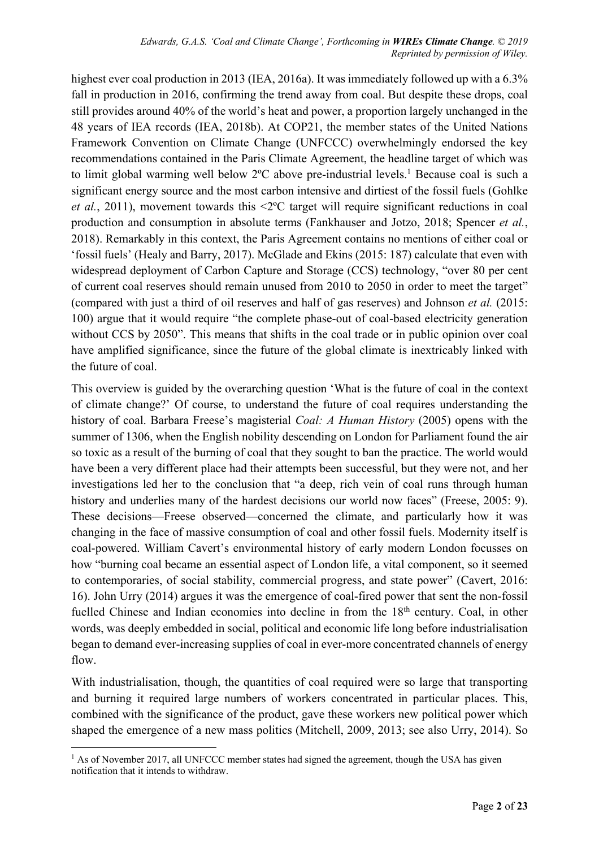highest ever coal production in 2013 (IEA, 2016a). It was immediately followed up with a 6.3% fall in production in 2016, confirming the trend away from coal. But despite these drops, coal still provides around 40% of the world's heat and power, a proportion largely unchanged in the 48 years of IEA records (IEA, 2018b). At COP21, the member states of the United Nations Framework Convention on Climate Change (UNFCCC) overwhelmingly endorsed the key recommendations contained in the Paris Climate Agreement, the headline target of which was to limit global warming well below 2°C above pre-industrial levels.<sup>1</sup> Because coal is such a significant energy source and the most carbon intensive and dirtiest of the fossil fuels (Gohlke *et al.*, 2011), movement towards this <2ºC target will require significant reductions in coal production and consumption in absolute terms (Fankhauser and Jotzo, 2018; Spencer *et al.*, 2018). Remarkably in this context, the Paris Agreement contains no mentions of either coal or 'fossil fuels' (Healy and Barry, 2017). McGlade and Ekins (2015: 187) calculate that even with widespread deployment of Carbon Capture and Storage (CCS) technology, "over 80 per cent of current coal reserves should remain unused from 2010 to 2050 in order to meet the target" (compared with just a third of oil reserves and half of gas reserves) and Johnson *et al.* (2015: 100) argue that it would require "the complete phase-out of coal-based electricity generation without CCS by 2050". This means that shifts in the coal trade or in public opinion over coal have amplified significance, since the future of the global climate is inextricably linked with the future of coal.

This overview is guided by the overarching question 'What is the future of coal in the context of climate change?' Of course, to understand the future of coal requires understanding the history of coal. Barbara Freese's magisterial *Coal: A Human History* (2005) opens with the summer of 1306, when the English nobility descending on London for Parliament found the air so toxic as a result of the burning of coal that they sought to ban the practice. The world would have been a very different place had their attempts been successful, but they were not, and her investigations led her to the conclusion that "a deep, rich vein of coal runs through human history and underlies many of the hardest decisions our world now faces" (Freese, 2005: 9). These decisions—Freese observed—concerned the climate, and particularly how it was changing in the face of massive consumption of coal and other fossil fuels. Modernity itself is coal-powered. William Cavert's environmental history of early modern London focusses on how "burning coal became an essential aspect of London life, a vital component, so it seemed to contemporaries, of social stability, commercial progress, and state power" (Cavert, 2016: 16). John Urry (2014) argues it was the emergence of coal-fired power that sent the non-fossil fuelled Chinese and Indian economies into decline in from the 18<sup>th</sup> century. Coal, in other words, was deeply embedded in social, political and economic life long before industrialisation began to demand ever-increasing supplies of coal in ever-more concentrated channels of energy flow.

With industrialisation, though, the quantities of coal required were so large that transporting and burning it required large numbers of workers concentrated in particular places. This, combined with the significance of the product, gave these workers new political power which shaped the emergence of a new mass politics (Mitchell, 2009, 2013; see also Urry, 2014). So

 $<sup>1</sup>$  As of November 2017, all UNFCCC member states had signed the agreement, though the USA has given</sup> notification that it intends to withdraw.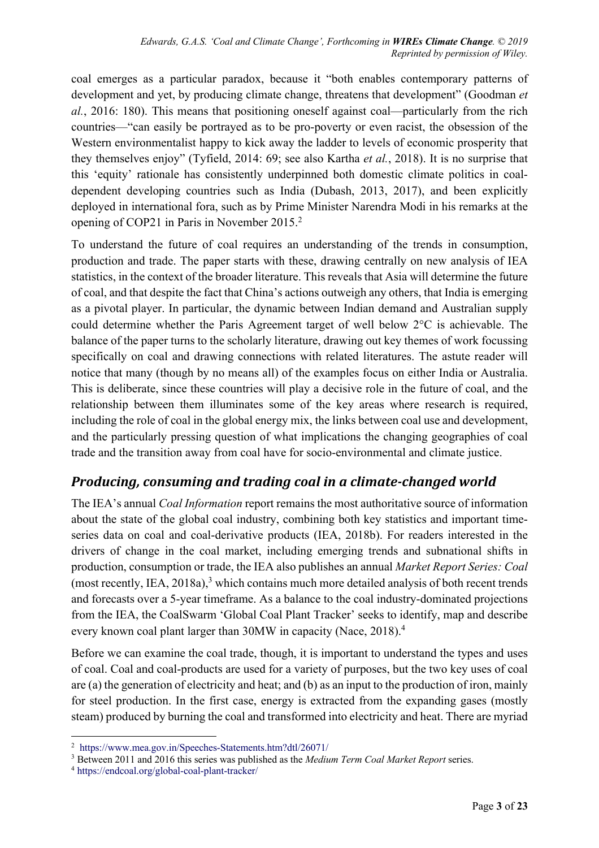coal emerges as a particular paradox, because it "both enables contemporary patterns of development and yet, by producing climate change, threatens that development" (Goodman *et al.*, 2016: 180). This means that positioning oneself against coal—particularly from the rich countries—"can easily be portrayed as to be pro-poverty or even racist, the obsession of the Western environmentalist happy to kick away the ladder to levels of economic prosperity that they themselves enjoy" (Tyfield, 2014: 69; see also Kartha *et al.*, 2018). It is no surprise that this 'equity' rationale has consistently underpinned both domestic climate politics in coaldependent developing countries such as India (Dubash, 2013, 2017), and been explicitly deployed in international fora, such as by Prime Minister Narendra Modi in his remarks at the opening of COP21 in Paris in November 2015. 2

To understand the future of coal requires an understanding of the trends in consumption, production and trade. The paper starts with these, drawing centrally on new analysis of IEA statistics, in the context of the broader literature. This reveals that Asia will determine the future of coal, and that despite the fact that China's actions outweigh any others, that India is emerging as a pivotal player. In particular, the dynamic between Indian demand and Australian supply could determine whether the Paris Agreement target of well below 2°C is achievable. The balance of the paper turns to the scholarly literature, drawing out key themes of work focussing specifically on coal and drawing connections with related literatures. The astute reader will notice that many (though by no means all) of the examples focus on either India or Australia. This is deliberate, since these countries will play a decisive role in the future of coal, and the relationship between them illuminates some of the key areas where research is required, including the role of coal in the global energy mix, the links between coal use and development, and the particularly pressing question of what implications the changing geographies of coal trade and the transition away from coal have for socio-environmental and climate justice.

## *Producing, consuming and trading coal in a climate-changed world*

The IEA's annual *Coal Information* report remains the most authoritative source of information about the state of the global coal industry, combining both key statistics and important timeseries data on coal and coal-derivative products (IEA, 2018b). For readers interested in the drivers of change in the coal market, including emerging trends and subnational shifts in production, consumption or trade, the IEA also publishes an annual *Market Report Series: Coal* (most recently, IEA, 2018a),<sup>3</sup> which contains much more detailed analysis of both recent trends and forecasts over a 5-year timeframe. As a balance to the coal industry-dominated projections from the IEA, the CoalSwarm 'Global Coal Plant Tracker' seeks to identify, map and describe every known coal plant larger than 30MW in capacity (Nace, 2018). 4

Before we can examine the coal trade, though, it is important to understand the types and uses of coal. Coal and coal-products are used for a variety of purposes, but the two key uses of coal are (a) the generation of electricity and heat; and (b) as an input to the production of iron, mainly for steel production. In the first case, energy is extracted from the expanding gases (mostly steam) produced by burning the coal and transformed into electricity and heat. There are myriad

 <sup>2</sup> https://www.mea.gov.in/Speeches-Statements.htm?dtl/26071/

<sup>3</sup> Between 2011 and 2016 this series was published as the *Medium Term Coal Market Report* series.

<sup>4</sup> https://endcoal.org/global-coal-plant-tracker/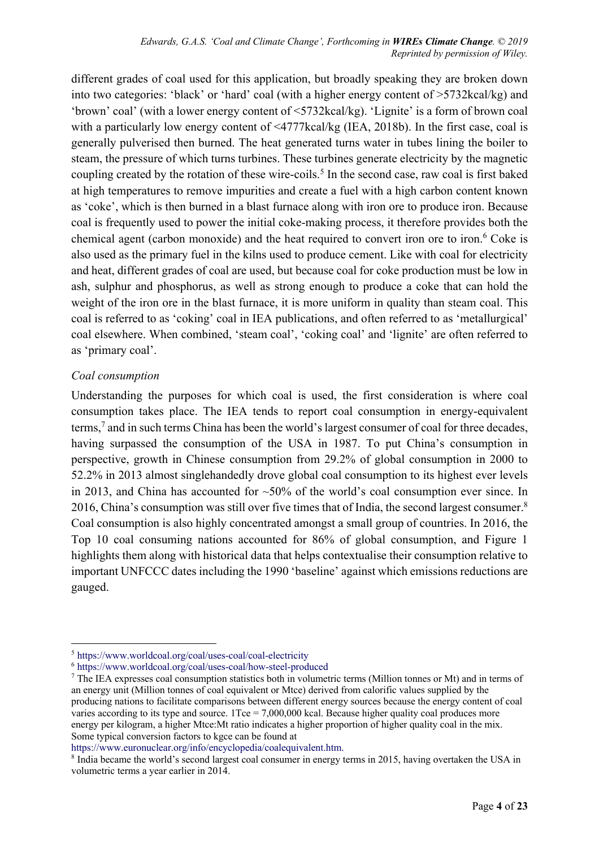different grades of coal used for this application, but broadly speaking they are broken down into two categories: 'black' or 'hard' coal (with a higher energy content of >5732kcal/kg) and 'brown' coal' (with a lower energy content of <5732kcal/kg). 'Lignite' is a form of brown coal with a particularly low energy content of <4777kcal/kg (IEA, 2018b). In the first case, coal is generally pulverised then burned. The heat generated turns water in tubes lining the boiler to steam, the pressure of which turns turbines. These turbines generate electricity by the magnetic coupling created by the rotation of these wire-coils.<sup>5</sup> In the second case, raw coal is first baked at high temperatures to remove impurities and create a fuel with a high carbon content known as 'coke', which is then burned in a blast furnace along with iron ore to produce iron. Because coal is frequently used to power the initial coke-making process, it therefore provides both the chemical agent (carbon monoxide) and the heat required to convert iron ore to iron. <sup>6</sup> Coke is also used as the primary fuel in the kilns used to produce cement. Like with coal for electricity and heat, different grades of coal are used, but because coal for coke production must be low in ash, sulphur and phosphorus, as well as strong enough to produce a coke that can hold the weight of the iron ore in the blast furnace, it is more uniform in quality than steam coal. This coal is referred to as 'coking' coal in IEA publications, and often referred to as 'metallurgical' coal elsewhere. When combined, 'steam coal', 'coking coal' and 'lignite' are often referred to as 'primary coal'.

#### *Coal consumption*

Understanding the purposes for which coal is used, the first consideration is where coal consumption takes place. The IEA tends to report coal consumption in energy-equivalent terms,7 and in such terms China has been the world's largest consumer of coal for three decades, having surpassed the consumption of the USA in 1987. To put China's consumption in perspective, growth in Chinese consumption from 29.2% of global consumption in 2000 to 52.2% in 2013 almost singlehandedly drove global coal consumption to its highest ever levels in 2013, and China has accounted for  $\sim$ 50% of the world's coal consumption ever since. In 2016, China's consumption was still over five times that of India, the second largest consumer.<sup>8</sup> Coal consumption is also highly concentrated amongst a small group of countries. In 2016, the Top 10 coal consuming nations accounted for 86% of global consumption, and Figure 1 highlights them along with historical data that helps contextualise their consumption relative to important UNFCCC dates including the 1990 'baseline' against which emissions reductions are gauged.

https://www.euronuclear.org/info/encyclopedia/coalequivalent.htm.

 <sup>5</sup> https://www.worldcoal.org/coal/uses-coal/coal-electricity

<sup>6</sup> https://www.worldcoal.org/coal/uses-coal/how-steel-produced

<sup>7</sup> The IEA expresses coal consumption statistics both in volumetric terms (Million tonnes or Mt) and in terms of an energy unit (Million tonnes of coal equivalent or Mtce) derived from calorific values supplied by the producing nations to facilitate comparisons between different energy sources because the energy content of coal varies according to its type and source.  $1Tce = 7,000,000$  kcal. Because higher quality coal produces more energy per kilogram, a higher Mtce:Mt ratio indicates a higher proportion of higher quality coal in the mix. Some typical conversion factors to kgce can be found at

<sup>8</sup> India became the world's second largest coal consumer in energy terms in 2015, having overtaken the USA in volumetric terms a year earlier in 2014.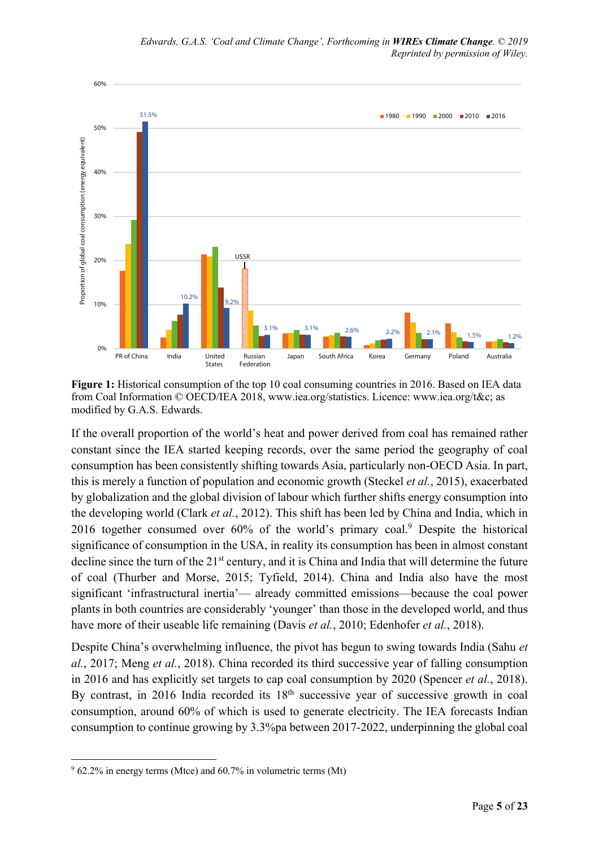

**Figure 1:** Historical consumption of the top 10 coal consuming countries in 2016. Based on IEA data from Coal Information © OECD/IEA 2018, www.iea.org/statistics. Licence: www.iea.org/t&c; as modified by G.A.S. Edwards.

If the overall proportion of the world's heat and power derived from coal has remained rather constant since the IEA started keeping records, over the same period the geography of coal consumption has been consistently shifting towards Asia, particularly non-OECD Asia. In part, this is merely a function of population and economic growth (Steckel *et al.*, 2015), exacerbated by globalization and the global division of labour which further shifts energy consumption into the developing world (Clark *et al.*, 2012). This shift has been led by China and India, which in 2016 together consumed over 60% of the world's primary coal. <sup>9</sup> Despite the historical significance of consumption in the USA, in reality its consumption has been in almost constant decline since the turn of the 21<sup>st</sup> century, and it is China and India that will determine the future of coal (Thurber and Morse, 2015; Tyfield, 2014). China and India also have the most significant 'infrastructural inertia'— already committed emissions—because the coal power plants in both countries are considerably 'younger' than those in the developed world, and thus have more of their useable life remaining (Davis *et al.*, 2010; Edenhofer *et al.*, 2018).

Despite China's overwhelming influence, the pivot has begun to swing towards India (Sahu *et al.*, 2017; Meng *et al.*, 2018). China recorded its third successive year of falling consumption in 2016 and has explicitly set targets to cap coal consumption by 2020 (Spencer *et al.*, 2018). By contrast, in 2016 India recorded its 18<sup>th</sup> successive year of successive growth in coal consumption, around 60% of which is used to generate electricity. The IEA forecasts Indian consumption to continue growing by 3.3%pa between 2017-2022, underpinning the global coal

 $962.2\%$  in energy terms (Mtce) and  $60.7\%$  in volumetric terms (Mt)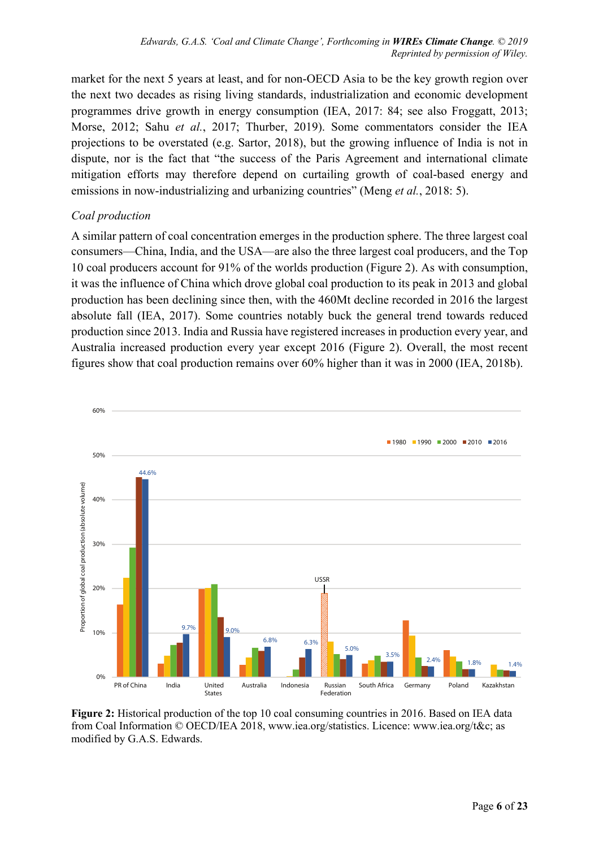market for the next 5 years at least, and for non-OECD Asia to be the key growth region over the next two decades as rising living standards, industrialization and economic development programmes drive growth in energy consumption (IEA, 2017: 84; see also Froggatt, 2013; Morse, 2012; Sahu *et al.*, 2017; Thurber, 2019). Some commentators consider the IEA projections to be overstated (e.g. Sartor, 2018), but the growing influence of India is not in dispute, nor is the fact that "the success of the Paris Agreement and international climate mitigation efforts may therefore depend on curtailing growth of coal-based energy and emissions in now-industrializing and urbanizing countries" (Meng *et al.*, 2018: 5).

### *Coal production*

A similar pattern of coal concentration emerges in the production sphere. The three largest coal consumers—China, India, and the USA—are also the three largest coal producers, and the Top 10 coal producers account for 91% of the worlds production (Figure 2). As with consumption, it was the influence of China which drove global coal production to its peak in 2013 and global production has been declining since then, with the 460Mt decline recorded in 2016 the largest absolute fall (IEA, 2017). Some countries notably buck the general trend towards reduced production since 2013. India and Russia have registered increases in production every year, and Australia increased production every year except 2016 (Figure 2). Overall, the most recent figures show that coal production remains over 60% higher than it was in 2000 (IEA, 2018b).



**Figure 2:** Historical production of the top 10 coal consuming countries in 2016. Based on IEA data from Coal Information © OECD/IEA 2018, www.iea.org/statistics. Licence: www.iea.org/t&c; as modified by G.A.S. Edwards.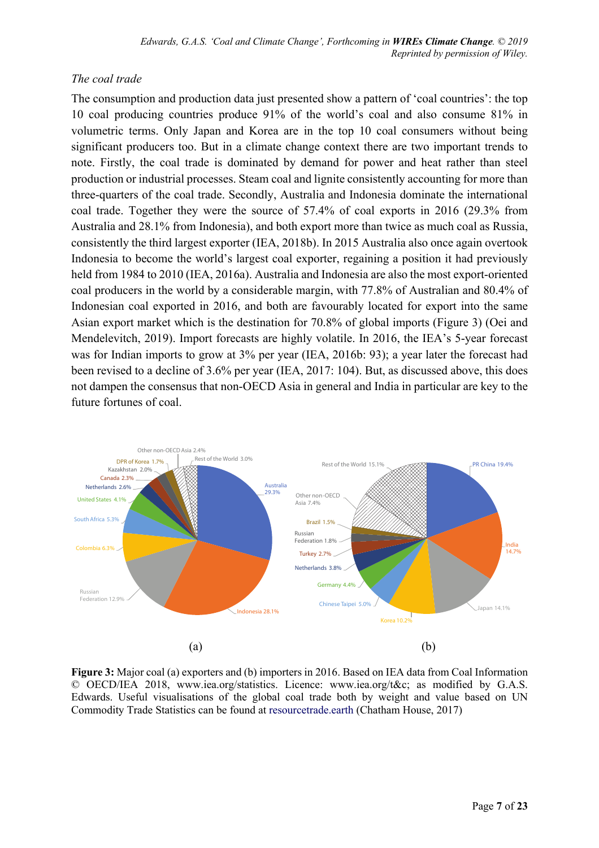### *The coal trade*

The consumption and production data just presented show a pattern of 'coal countries': the top 10 coal producing countries produce 91% of the world's coal and also consume 81% in volumetric terms. Only Japan and Korea are in the top 10 coal consumers without being significant producers too. But in a climate change context there are two important trends to note. Firstly, the coal trade is dominated by demand for power and heat rather than steel production or industrial processes. Steam coal and lignite consistently accounting for more than three-quarters of the coal trade. Secondly, Australia and Indonesia dominate the international coal trade. Together they were the source of 57.4% of coal exports in 2016 (29.3% from Australia and 28.1% from Indonesia), and both export more than twice as much coal as Russia, consistently the third largest exporter (IEA, 2018b). In 2015 Australia also once again overtook Indonesia to become the world's largest coal exporter, regaining a position it had previously held from 1984 to 2010 (IEA, 2016a). Australia and Indonesia are also the most export-oriented coal producers in the world by a considerable margin, with 77.8% of Australian and 80.4% of Indonesian coal exported in 2016, and both are favourably located for export into the same Asian export market which is the destination for 70.8% of global imports (Figure 3) (Oei and Mendelevitch, 2019). Import forecasts are highly volatile. In 2016, the IEA's 5-year forecast was for Indian imports to grow at 3% per year (IEA, 2016b: 93); a year later the forecast had been revised to a decline of 3.6% per year (IEA, 2017: 104). But, as discussed above, this does not dampen the consensus that non-OECD Asia in general and India in particular are key to the future fortunes of coal.



**Figure 3:** Major coal (a) exporters and (b) importers in 2016. Based on IEA data from Coal Information © OECD/IEA 2018, www.iea.org/statistics. Licence: www.iea.org/t&c; as modified by G.A.S. Edwards. Useful visualisations of the global coal trade both by weight and value based on UN Commodity Trade Statistics can be found at resourcetrade.earth (Chatham House, 2017)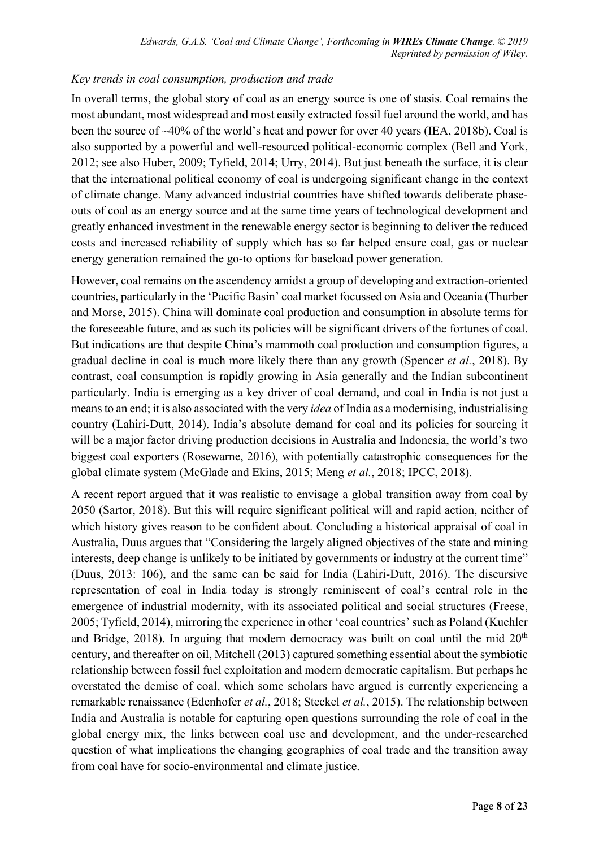#### *Key trends in coal consumption, production and trade*

In overall terms, the global story of coal as an energy source is one of stasis. Coal remains the most abundant, most widespread and most easily extracted fossil fuel around the world, and has been the source of ~40% of the world's heat and power for over 40 years (IEA, 2018b). Coal is also supported by a powerful and well-resourced political-economic complex (Bell and York, 2012; see also Huber, 2009; Tyfield, 2014; Urry, 2014). But just beneath the surface, it is clear that the international political economy of coal is undergoing significant change in the context of climate change. Many advanced industrial countries have shifted towards deliberate phaseouts of coal as an energy source and at the same time years of technological development and greatly enhanced investment in the renewable energy sector is beginning to deliver the reduced costs and increased reliability of supply which has so far helped ensure coal, gas or nuclear energy generation remained the go-to options for baseload power generation.

However, coal remains on the ascendency amidst a group of developing and extraction-oriented countries, particularly in the 'Pacific Basin' coal market focussed on Asia and Oceania (Thurber and Morse, 2015). China will dominate coal production and consumption in absolute terms for the foreseeable future, and as such its policies will be significant drivers of the fortunes of coal. But indications are that despite China's mammoth coal production and consumption figures, a gradual decline in coal is much more likely there than any growth (Spencer *et al.*, 2018). By contrast, coal consumption is rapidly growing in Asia generally and the Indian subcontinent particularly. India is emerging as a key driver of coal demand, and coal in India is not just a means to an end; it is also associated with the very *idea* of India as a modernising, industrialising country (Lahiri-Dutt, 2014). India's absolute demand for coal and its policies for sourcing it will be a major factor driving production decisions in Australia and Indonesia, the world's two biggest coal exporters (Rosewarne, 2016), with potentially catastrophic consequences for the global climate system (McGlade and Ekins, 2015; Meng *et al.*, 2018; IPCC, 2018).

A recent report argued that it was realistic to envisage a global transition away from coal by 2050 (Sartor, 2018). But this will require significant political will and rapid action, neither of which history gives reason to be confident about. Concluding a historical appraisal of coal in Australia, Duus argues that "Considering the largely aligned objectives of the state and mining interests, deep change is unlikely to be initiated by governments or industry at the current time" (Duus, 2013: 106), and the same can be said for India (Lahiri-Dutt, 2016). The discursive representation of coal in India today is strongly reminiscent of coal's central role in the emergence of industrial modernity, with its associated political and social structures (Freese, 2005; Tyfield, 2014), mirroring the experience in other 'coal countries' such as Poland (Kuchler and Bridge, 2018). In arguing that modern democracy was built on coal until the mid  $20<sup>th</sup>$ century, and thereafter on oil, Mitchell (2013) captured something essential about the symbiotic relationship between fossil fuel exploitation and modern democratic capitalism. But perhaps he overstated the demise of coal, which some scholars have argued is currently experiencing a remarkable renaissance (Edenhofer *et al.*, 2018; Steckel *et al.*, 2015). The relationship between India and Australia is notable for capturing open questions surrounding the role of coal in the global energy mix, the links between coal use and development, and the under-researched question of what implications the changing geographies of coal trade and the transition away from coal have for socio-environmental and climate justice.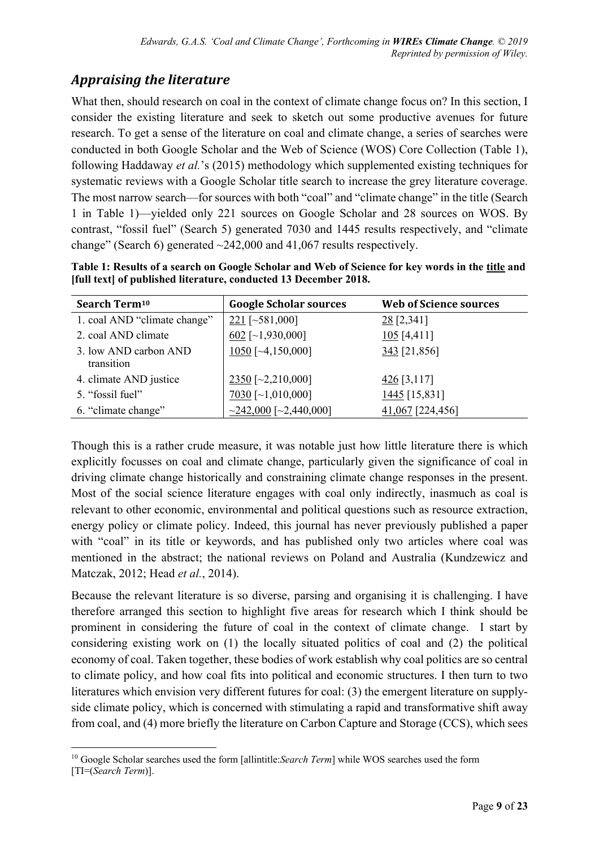## *Appraising the literature*

What then, should research on coal in the context of climate change focus on? In this section, I consider the existing literature and seek to sketch out some productive avenues for future research. To get a sense of the literature on coal and climate change, a series of searches were conducted in both Google Scholar and the Web of Science (WOS) Core Collection (Table 1), following Haddaway *et al.*'s (2015) methodology which supplemented existing techniques for systematic reviews with a Google Scholar title search to increase the grey literature coverage. The most narrow search—for sources with both "coal" and "climate change" in the title (Search 1 in Table 1)—yielded only 221 sources on Google Scholar and 28 sources on WOS. By contrast, "fossil fuel" (Search 5) generated 7030 and 1445 results respectively, and "climate change" (Search 6) generated  $\sim$ 242,000 and 41,067 results respectively.

**Table 1: Results of a search on Google Scholar and Web of Science for key words in the title and [full text] of published literature, conducted 13 December 2018.** 

| Search Term <sup>10</sup>           | <b>Google Scholar sources</b> | <b>Web of Science sources</b> |
|-------------------------------------|-------------------------------|-------------------------------|
| 1. coal AND "climate change"        | $221$ [~581,000]              | $28$ [2,341]                  |
| 2. coal AND climate                 | $602$ [~1,930,000]            | $105$ [4,411]                 |
| 3. low AND carbon AND<br>transition | $1050$ [~4,150,000]           | $343$ [21,856]                |
| 4. climate AND justice              | $2350$ [~2,210,000]           | $\frac{426}{3,117}$           |
| 5. "fossil fuel"                    | $7030$ [~1,010,000]           | $1445$ [15,831]               |
| 6. "climate change"                 | $\sim$ 242,000 [~2,440,000]   | 41,067 [224,456]              |

Though this is a rather crude measure, it was notable just how little literature there is which explicitly focusses on coal and climate change, particularly given the significance of coal in driving climate change historically and constraining climate change responses in the present. Most of the social science literature engages with coal only indirectly, inasmuch as coal is relevant to other economic, environmental and political questions such as resource extraction, energy policy or climate policy. Indeed, this journal has never previously published a paper with "coal" in its title or keywords, and has published only two articles where coal was mentioned in the abstract; the national reviews on Poland and Australia (Kundzewicz and Matczak, 2012; Head *et al.*, 2014).

Because the relevant literature is so diverse, parsing and organising it is challenging. I have therefore arranged this section to highlight five areas for research which I think should be prominent in considering the future of coal in the context of climate change. I start by considering existing work on (1) the locally situated politics of coal and (2) the political economy of coal. Taken together, these bodies of work establish why coal politics are so central to climate policy, and how coal fits into political and economic structures. I then turn to two literatures which envision very different futures for coal: (3) the emergent literature on supplyside climate policy, which is concerned with stimulating a rapid and transformative shift away from coal, and (4) more briefly the literature on Carbon Capture and Storage (CCS), which sees

 <sup>10</sup> Google Scholar searches used the form [allintitle:*Search Term*] while WOS searches used the form [TI=(*Search Term*)].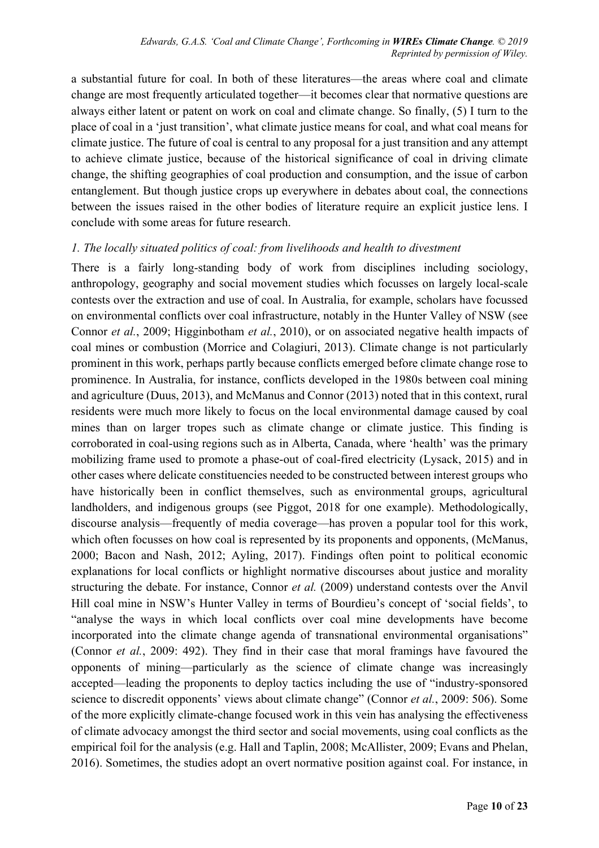a substantial future for coal. In both of these literatures—the areas where coal and climate change are most frequently articulated together—it becomes clear that normative questions are always either latent or patent on work on coal and climate change. So finally, (5) I turn to the place of coal in a 'just transition', what climate justice means for coal, and what coal means for climate justice. The future of coal is central to any proposal for a just transition and any attempt to achieve climate justice, because of the historical significance of coal in driving climate change, the shifting geographies of coal production and consumption, and the issue of carbon entanglement. But though justice crops up everywhere in debates about coal, the connections between the issues raised in the other bodies of literature require an explicit justice lens. I conclude with some areas for future research.

#### *1. The locally situated politics of coal: from livelihoods and health to divestment*

There is a fairly long-standing body of work from disciplines including sociology, anthropology, geography and social movement studies which focusses on largely local-scale contests over the extraction and use of coal. In Australia, for example, scholars have focussed on environmental conflicts over coal infrastructure, notably in the Hunter Valley of NSW (see Connor *et al.*, 2009; Higginbotham *et al.*, 2010), or on associated negative health impacts of coal mines or combustion (Morrice and Colagiuri, 2013). Climate change is not particularly prominent in this work, perhaps partly because conflicts emerged before climate change rose to prominence. In Australia, for instance, conflicts developed in the 1980s between coal mining and agriculture (Duus, 2013), and McManus and Connor (2013) noted that in this context, rural residents were much more likely to focus on the local environmental damage caused by coal mines than on larger tropes such as climate change or climate justice. This finding is corroborated in coal-using regions such as in Alberta, Canada, where 'health' was the primary mobilizing frame used to promote a phase-out of coal-fired electricity (Lysack, 2015) and in other cases where delicate constituencies needed to be constructed between interest groups who have historically been in conflict themselves, such as environmental groups, agricultural landholders, and indigenous groups (see Piggot, 2018 for one example). Methodologically, discourse analysis—frequently of media coverage—has proven a popular tool for this work, which often focusses on how coal is represented by its proponents and opponents, (McManus, 2000; Bacon and Nash, 2012; Ayling, 2017). Findings often point to political economic explanations for local conflicts or highlight normative discourses about justice and morality structuring the debate. For instance, Connor *et al.* (2009) understand contests over the Anvil Hill coal mine in NSW's Hunter Valley in terms of Bourdieu's concept of 'social fields', to "analyse the ways in which local conflicts over coal mine developments have become incorporated into the climate change agenda of transnational environmental organisations" (Connor *et al.*, 2009: 492). They find in their case that moral framings have favoured the opponents of mining—particularly as the science of climate change was increasingly accepted—leading the proponents to deploy tactics including the use of "industry-sponsored science to discredit opponents' views about climate change" (Connor *et al.*, 2009: 506). Some of the more explicitly climate-change focused work in this vein has analysing the effectiveness of climate advocacy amongst the third sector and social movements, using coal conflicts as the empirical foil for the analysis (e.g. Hall and Taplin, 2008; McAllister, 2009; Evans and Phelan, 2016). Sometimes, the studies adopt an overt normative position against coal. For instance, in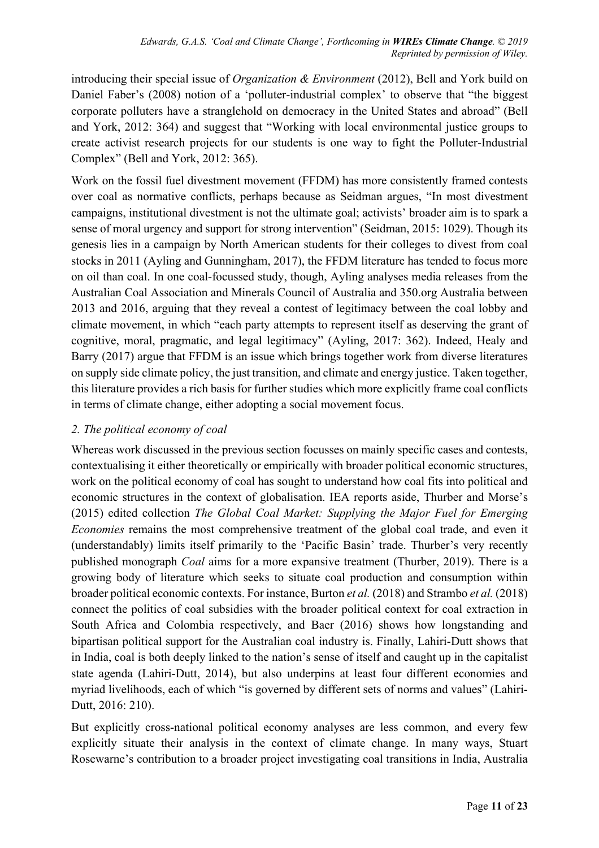introducing their special issue of *Organization & Environment* (2012), Bell and York build on Daniel Faber's (2008) notion of a 'polluter-industrial complex' to observe that "the biggest corporate polluters have a stranglehold on democracy in the United States and abroad" (Bell and York, 2012: 364) and suggest that "Working with local environmental justice groups to create activist research projects for our students is one way to fight the Polluter-Industrial Complex" (Bell and York, 2012: 365).

Work on the fossil fuel divestment movement (FFDM) has more consistently framed contests over coal as normative conflicts, perhaps because as Seidman argues, "In most divestment campaigns, institutional divestment is not the ultimate goal; activists' broader aim is to spark a sense of moral urgency and support for strong intervention" (Seidman, 2015: 1029). Though its genesis lies in a campaign by North American students for their colleges to divest from coal stocks in 2011 (Ayling and Gunningham, 2017), the FFDM literature has tended to focus more on oil than coal. In one coal-focussed study, though, Ayling analyses media releases from the Australian Coal Association and Minerals Council of Australia and 350.org Australia between 2013 and 2016, arguing that they reveal a contest of legitimacy between the coal lobby and climate movement, in which "each party attempts to represent itself as deserving the grant of cognitive, moral, pragmatic, and legal legitimacy" (Ayling, 2017: 362). Indeed, Healy and Barry (2017) argue that FFDM is an issue which brings together work from diverse literatures on supply side climate policy, the just transition, and climate and energy justice. Taken together, this literature provides a rich basis for further studies which more explicitly frame coal conflicts in terms of climate change, either adopting a social movement focus.

## *2. The political economy of coal*

Whereas work discussed in the previous section focusses on mainly specific cases and contests, contextualising it either theoretically or empirically with broader political economic structures, work on the political economy of coal has sought to understand how coal fits into political and economic structures in the context of globalisation. IEA reports aside, Thurber and Morse's (2015) edited collection *The Global Coal Market: Supplying the Major Fuel for Emerging Economies* remains the most comprehensive treatment of the global coal trade, and even it (understandably) limits itself primarily to the 'Pacific Basin' trade. Thurber's very recently published monograph *Coal* aims for a more expansive treatment (Thurber, 2019). There is a growing body of literature which seeks to situate coal production and consumption within broader political economic contexts. For instance, Burton *et al.* (2018) and Strambo *et al.* (2018) connect the politics of coal subsidies with the broader political context for coal extraction in South Africa and Colombia respectively, and Baer (2016) shows how longstanding and bipartisan political support for the Australian coal industry is. Finally, Lahiri-Dutt shows that in India, coal is both deeply linked to the nation's sense of itself and caught up in the capitalist state agenda (Lahiri-Dutt, 2014), but also underpins at least four different economies and myriad livelihoods, each of which "is governed by different sets of norms and values" (Lahiri-Dutt, 2016: 210).

But explicitly cross-national political economy analyses are less common, and every few explicitly situate their analysis in the context of climate change. In many ways, Stuart Rosewarne's contribution to a broader project investigating coal transitions in India, Australia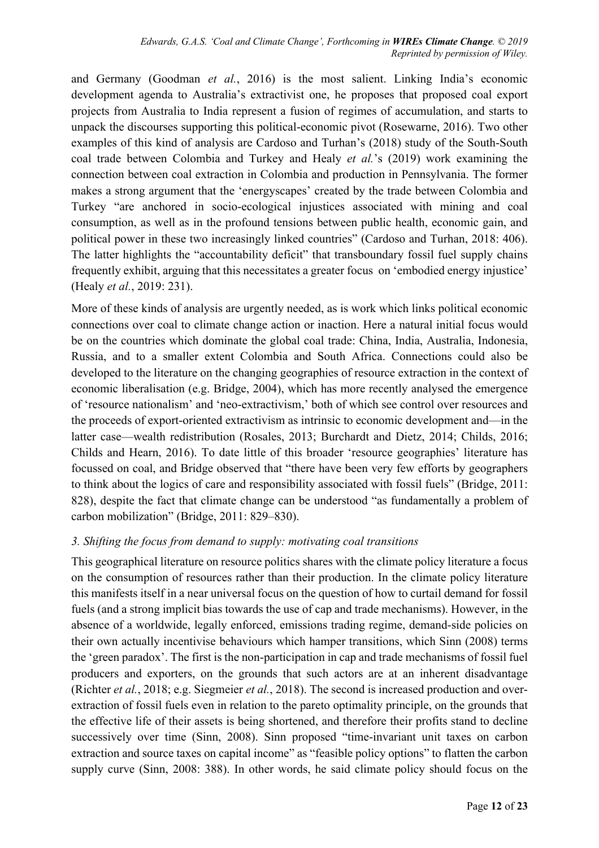and Germany (Goodman *et al.*, 2016) is the most salient. Linking India's economic development agenda to Australia's extractivist one, he proposes that proposed coal export projects from Australia to India represent a fusion of regimes of accumulation, and starts to unpack the discourses supporting this political-economic pivot (Rosewarne, 2016). Two other examples of this kind of analysis are Cardoso and Turhan's (2018) study of the South-South coal trade between Colombia and Turkey and Healy *et al.*'s (2019) work examining the connection between coal extraction in Colombia and production in Pennsylvania. The former makes a strong argument that the 'energyscapes' created by the trade between Colombia and Turkey "are anchored in socio-ecological injustices associated with mining and coal consumption, as well as in the profound tensions between public health, economic gain, and political power in these two increasingly linked countries" (Cardoso and Turhan, 2018: 406). The latter highlights the "accountability deficit" that transboundary fossil fuel supply chains frequently exhibit, arguing that this necessitates a greater focus on 'embodied energy injustice' (Healy *et al.*, 2019: 231).

More of these kinds of analysis are urgently needed, as is work which links political economic connections over coal to climate change action or inaction. Here a natural initial focus would be on the countries which dominate the global coal trade: China, India, Australia, Indonesia, Russia, and to a smaller extent Colombia and South Africa. Connections could also be developed to the literature on the changing geographies of resource extraction in the context of economic liberalisation (e.g. Bridge, 2004), which has more recently analysed the emergence of 'resource nationalism' and 'neo-extractivism,' both of which see control over resources and the proceeds of export-oriented extractivism as intrinsic to economic development and—in the latter case—wealth redistribution (Rosales, 2013; Burchardt and Dietz, 2014; Childs, 2016; Childs and Hearn, 2016). To date little of this broader 'resource geographies' literature has focussed on coal, and Bridge observed that "there have been very few efforts by geographers to think about the logics of care and responsibility associated with fossil fuels" (Bridge, 2011: 828), despite the fact that climate change can be understood "as fundamentally a problem of carbon mobilization" (Bridge, 2011: 829–830).

#### *3. Shifting the focus from demand to supply: motivating coal transitions*

This geographical literature on resource politics shares with the climate policy literature a focus on the consumption of resources rather than their production. In the climate policy literature this manifests itself in a near universal focus on the question of how to curtail demand for fossil fuels (and a strong implicit bias towards the use of cap and trade mechanisms). However, in the absence of a worldwide, legally enforced, emissions trading regime, demand-side policies on their own actually incentivise behaviours which hamper transitions, which Sinn (2008) terms the 'green paradox'. The first is the non-participation in cap and trade mechanisms of fossil fuel producers and exporters, on the grounds that such actors are at an inherent disadvantage (Richter *et al.*, 2018; e.g. Siegmeier *et al.*, 2018). The second is increased production and overextraction of fossil fuels even in relation to the pareto optimality principle, on the grounds that the effective life of their assets is being shortened, and therefore their profits stand to decline successively over time (Sinn, 2008). Sinn proposed "time-invariant unit taxes on carbon extraction and source taxes on capital income" as "feasible policy options" to flatten the carbon supply curve (Sinn, 2008: 388). In other words, he said climate policy should focus on the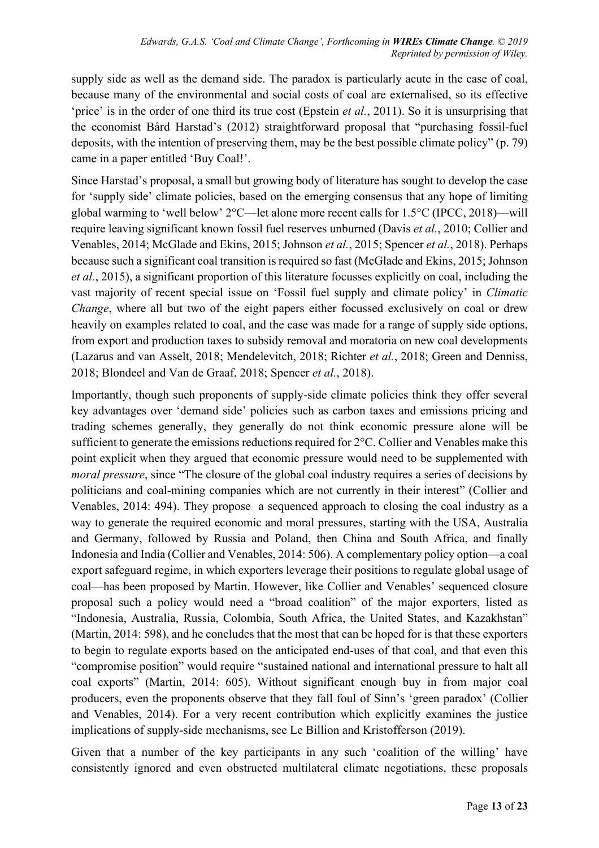supply side as well as the demand side. The paradox is particularly acute in the case of coal, because many of the environmental and social costs of coal are externalised, so its effective 'price' is in the order of one third its true cost (Epstein *et al.*, 2011). So it is unsurprising that the economist Bård Harstad's (2012) straightforward proposal that "purchasing fossil-fuel deposits, with the intention of preserving them, may be the best possible climate policy" (p. 79) came in a paper entitled 'Buy Coal!'.

Since Harstad's proposal, a small but growing body of literature has sought to develop the case for 'supply side' climate policies, based on the emerging consensus that any hope of limiting global warming to 'well below' 2°C—let alone more recent calls for 1.5°C (IPCC, 2018)—will require leaving significant known fossil fuel reserves unburned (Davis *et al.*, 2010; Collier and Venables, 2014; McGlade and Ekins, 2015; Johnson *et al.*, 2015; Spencer *et al.*, 2018). Perhaps because such a significant coal transition is required so fast (McGlade and Ekins, 2015; Johnson *et al.*, 2015), a significant proportion of this literature focusses explicitly on coal, including the vast majority of recent special issue on 'Fossil fuel supply and climate policy' in *Climatic Change*, where all but two of the eight papers either focussed exclusively on coal or drew heavily on examples related to coal, and the case was made for a range of supply side options, from export and production taxes to subsidy removal and moratoria on new coal developments (Lazarus and van Asselt, 2018; Mendelevitch, 2018; Richter *et al.*, 2018; Green and Denniss, 2018; Blondeel and Van de Graaf, 2018; Spencer *et al.*, 2018).

Importantly, though such proponents of supply-side climate policies think they offer several key advantages over 'demand side' policies such as carbon taxes and emissions pricing and trading schemes generally, they generally do not think economic pressure alone will be sufficient to generate the emissions reductions required for 2°C. Collier and Venables make this point explicit when they argued that economic pressure would need to be supplemented with *moral pressure*, since "The closure of the global coal industry requires a series of decisions by politicians and coal-mining companies which are not currently in their interest" (Collier and Venables, 2014: 494). They propose a sequenced approach to closing the coal industry as a way to generate the required economic and moral pressures, starting with the USA, Australia and Germany, followed by Russia and Poland, then China and South Africa, and finally Indonesia and India (Collier and Venables, 2014: 506). A complementary policy option—a coal export safeguard regime, in which exporters leverage their positions to regulate global usage of coal—has been proposed by Martin. However, like Collier and Venables' sequenced closure proposal such a policy would need a "broad coalition" of the major exporters, listed as "Indonesia, Australia, Russia, Colombia, South Africa, the United States, and Kazakhstan" (Martin, 2014: 598), and he concludes that the most that can be hoped for is that these exporters to begin to regulate exports based on the anticipated end-uses of that coal, and that even this "compromise position" would require "sustained national and international pressure to halt all coal exports" (Martin, 2014: 605). Without significant enough buy in from major coal producers, even the proponents observe that they fall foul of Sinn's 'green paradox' (Collier and Venables, 2014). For a very recent contribution which explicitly examines the justice implications of supply-side mechanisms, see Le Billion and Kristofferson (2019).

Given that a number of the key participants in any such 'coalition of the willing' have consistently ignored and even obstructed multilateral climate negotiations, these proposals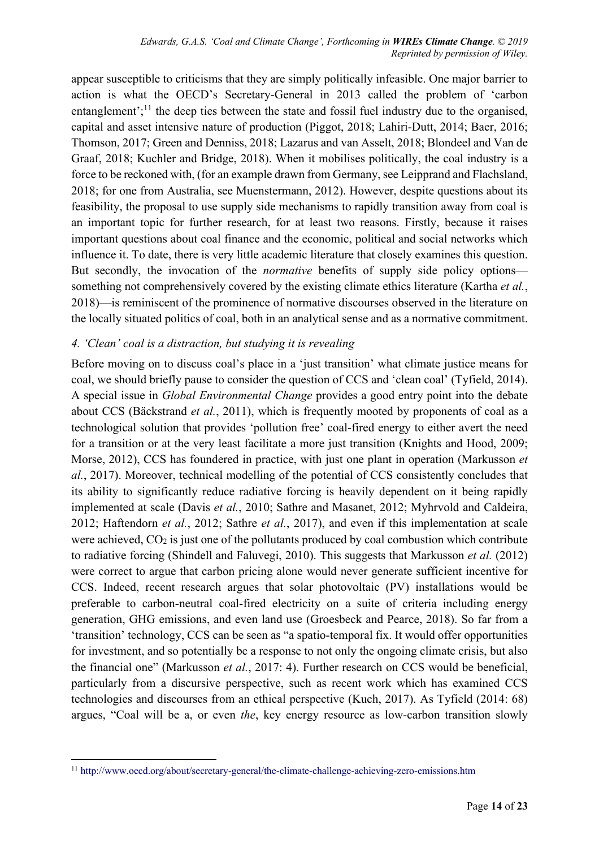appear susceptible to criticisms that they are simply politically infeasible. One major barrier to action is what the OECD's Secretary-General in 2013 called the problem of 'carbon entanglement';<sup>11</sup> the deep ties between the state and fossil fuel industry due to the organised, capital and asset intensive nature of production (Piggot, 2018; Lahiri-Dutt, 2014; Baer, 2016; Thomson, 2017; Green and Denniss, 2018; Lazarus and van Asselt, 2018; Blondeel and Van de Graaf, 2018; Kuchler and Bridge, 2018). When it mobilises politically, the coal industry is a force to be reckoned with, (for an example drawn from Germany, see Leipprand and Flachsland, 2018; for one from Australia, see Muenstermann, 2012). However, despite questions about its feasibility, the proposal to use supply side mechanisms to rapidly transition away from coal is an important topic for further research, for at least two reasons. Firstly, because it raises important questions about coal finance and the economic, political and social networks which influence it. To date, there is very little academic literature that closely examines this question. But secondly, the invocation of the *normative* benefits of supply side policy options something not comprehensively covered by the existing climate ethics literature (Kartha *et al.*, 2018)—is reminiscent of the prominence of normative discourses observed in the literature on the locally situated politics of coal, both in an analytical sense and as a normative commitment.

#### *4. 'Clean' coal is a distraction, but studying it is revealing*

Before moving on to discuss coal's place in a 'just transition' what climate justice means for coal, we should briefly pause to consider the question of CCS and 'clean coal' (Tyfield, 2014). A special issue in *Global Environmental Change* provides a good entry point into the debate about CCS (Bäckstrand *et al.*, 2011), which is frequently mooted by proponents of coal as a technological solution that provides 'pollution free' coal-fired energy to either avert the need for a transition or at the very least facilitate a more just transition (Knights and Hood, 2009; Morse, 2012), CCS has foundered in practice, with just one plant in operation (Markusson *et al.*, 2017). Moreover, technical modelling of the potential of CCS consistently concludes that its ability to significantly reduce radiative forcing is heavily dependent on it being rapidly implemented at scale (Davis *et al.*, 2010; Sathre and Masanet, 2012; Myhrvold and Caldeira, 2012; Haftendorn *et al.*, 2012; Sathre *et al.*, 2017), and even if this implementation at scale were achieved,  $CO<sub>2</sub>$  is just one of the pollutants produced by coal combustion which contribute to radiative forcing (Shindell and Faluvegi, 2010). This suggests that Markusson *et al.* (2012) were correct to argue that carbon pricing alone would never generate sufficient incentive for CCS. Indeed, recent research argues that solar photovoltaic (PV) installations would be preferable to carbon-neutral coal-fired electricity on a suite of criteria including energy generation, GHG emissions, and even land use (Groesbeck and Pearce, 2018). So far from a 'transition' technology, CCS can be seen as "a spatio-temporal fix. It would offer opportunities for investment, and so potentially be a response to not only the ongoing climate crisis, but also the financial one" (Markusson *et al.*, 2017: 4). Further research on CCS would be beneficial, particularly from a discursive perspective, such as recent work which has examined CCS technologies and discourses from an ethical perspective (Kuch, 2017). As Tyfield (2014: 68) argues, "Coal will be a, or even *the*, key energy resource as low-carbon transition slowly

 <sup>11</sup> http://www.oecd.org/about/secretary-general/the-climate-challenge-achieving-zero-emissions.htm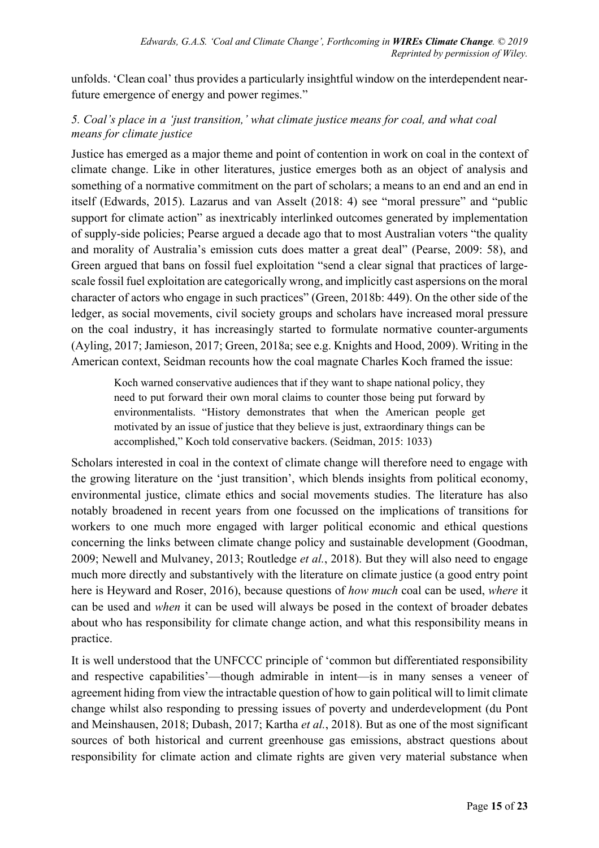unfolds. 'Clean coal' thus provides a particularly insightful window on the interdependent nearfuture emergence of energy and power regimes."

### *5. Coal's place in a 'just transition,' what climate justice means for coal, and what coal means for climate justice*

Justice has emerged as a major theme and point of contention in work on coal in the context of climate change. Like in other literatures, justice emerges both as an object of analysis and something of a normative commitment on the part of scholars; a means to an end and an end in itself (Edwards, 2015). Lazarus and van Asselt (2018: 4) see "moral pressure" and "public support for climate action" as inextricably interlinked outcomes generated by implementation of supply-side policies; Pearse argued a decade ago that to most Australian voters "the quality and morality of Australia's emission cuts does matter a great deal" (Pearse, 2009: 58), and Green argued that bans on fossil fuel exploitation "send a clear signal that practices of largescale fossil fuel exploitation are categorically wrong, and implicitly cast aspersions on the moral character of actors who engage in such practices" (Green, 2018b: 449). On the other side of the ledger, as social movements, civil society groups and scholars have increased moral pressure on the coal industry, it has increasingly started to formulate normative counter-arguments (Ayling, 2017; Jamieson, 2017; Green, 2018a; see e.g. Knights and Hood, 2009). Writing in the American context, Seidman recounts how the coal magnate Charles Koch framed the issue:

Koch warned conservative audiences that if they want to shape national policy, they need to put forward their own moral claims to counter those being put forward by environmentalists. "History demonstrates that when the American people get motivated by an issue of justice that they believe is just, extraordinary things can be accomplished," Koch told conservative backers. (Seidman, 2015: 1033)

Scholars interested in coal in the context of climate change will therefore need to engage with the growing literature on the 'just transition', which blends insights from political economy, environmental justice, climate ethics and social movements studies. The literature has also notably broadened in recent years from one focussed on the implications of transitions for workers to one much more engaged with larger political economic and ethical questions concerning the links between climate change policy and sustainable development (Goodman, 2009; Newell and Mulvaney, 2013; Routledge *et al.*, 2018). But they will also need to engage much more directly and substantively with the literature on climate justice (a good entry point here is Heyward and Roser, 2016), because questions of *how much* coal can be used, *where* it can be used and *when* it can be used will always be posed in the context of broader debates about who has responsibility for climate change action, and what this responsibility means in practice.

It is well understood that the UNFCCC principle of 'common but differentiated responsibility and respective capabilities'—though admirable in intent—is in many senses a veneer of agreement hiding from view the intractable question of how to gain political will to limit climate change whilst also responding to pressing issues of poverty and underdevelopment (du Pont and Meinshausen, 2018; Dubash, 2017; Kartha *et al.*, 2018). But as one of the most significant sources of both historical and current greenhouse gas emissions, abstract questions about responsibility for climate action and climate rights are given very material substance when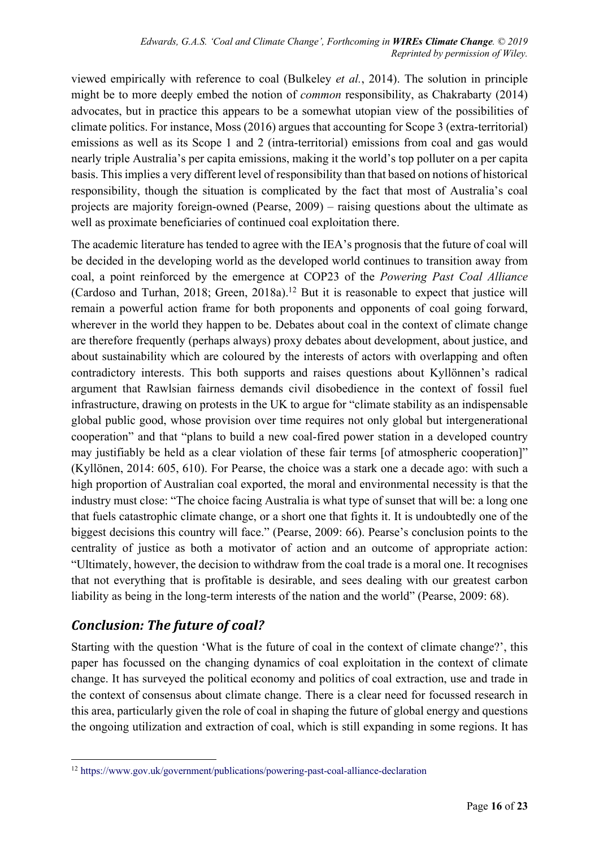viewed empirically with reference to coal (Bulkeley *et al.*, 2014). The solution in principle might be to more deeply embed the notion of *common* responsibility, as Chakrabarty (2014) advocates, but in practice this appears to be a somewhat utopian view of the possibilities of climate politics. For instance, Moss (2016) argues that accounting for Scope 3 (extra-territorial) emissions as well as its Scope 1 and 2 (intra-territorial) emissions from coal and gas would nearly triple Australia's per capita emissions, making it the world's top polluter on a per capita basis. This implies a very different level of responsibility than that based on notions of historical responsibility, though the situation is complicated by the fact that most of Australia's coal projects are majority foreign-owned (Pearse, 2009) – raising questions about the ultimate as well as proximate beneficiaries of continued coal exploitation there.

The academic literature has tended to agree with the IEA's prognosis that the future of coal will be decided in the developing world as the developed world continues to transition away from coal, a point reinforced by the emergence at COP23 of the *Powering Past Coal Alliance* (Cardoso and Turhan, 2018; Green, 2018a). <sup>12</sup> But it is reasonable to expect that justice will remain a powerful action frame for both proponents and opponents of coal going forward, wherever in the world they happen to be. Debates about coal in the context of climate change are therefore frequently (perhaps always) proxy debates about development, about justice, and about sustainability which are coloured by the interests of actors with overlapping and often contradictory interests. This both supports and raises questions about Kyllönnen's radical argument that Rawlsian fairness demands civil disobedience in the context of fossil fuel infrastructure, drawing on protests in the UK to argue for "climate stability as an indispensable global public good, whose provision over time requires not only global but intergenerational cooperation" and that "plans to build a new coal-fired power station in a developed country may justifiably be held as a clear violation of these fair terms [of atmospheric cooperation]" (Kyllönen, 2014: 605, 610). For Pearse, the choice was a stark one a decade ago: with such a high proportion of Australian coal exported, the moral and environmental necessity is that the industry must close: "The choice facing Australia is what type of sunset that will be: a long one that fuels catastrophic climate change, or a short one that fights it. It is undoubtedly one of the biggest decisions this country will face." (Pearse, 2009: 66). Pearse's conclusion points to the centrality of justice as both a motivator of action and an outcome of appropriate action: "Ultimately, however, the decision to withdraw from the coal trade is a moral one. It recognises that not everything that is profitable is desirable, and sees dealing with our greatest carbon liability as being in the long-term interests of the nation and the world" (Pearse, 2009: 68).

## *Conclusion: The future of coal?*

Starting with the question 'What is the future of coal in the context of climate change?', this paper has focussed on the changing dynamics of coal exploitation in the context of climate change. It has surveyed the political economy and politics of coal extraction, use and trade in the context of consensus about climate change. There is a clear need for focussed research in this area, particularly given the role of coal in shaping the future of global energy and questions the ongoing utilization and extraction of coal, which is still expanding in some regions. It has

 <sup>12</sup> https://www.gov.uk/government/publications/powering-past-coal-alliance-declaration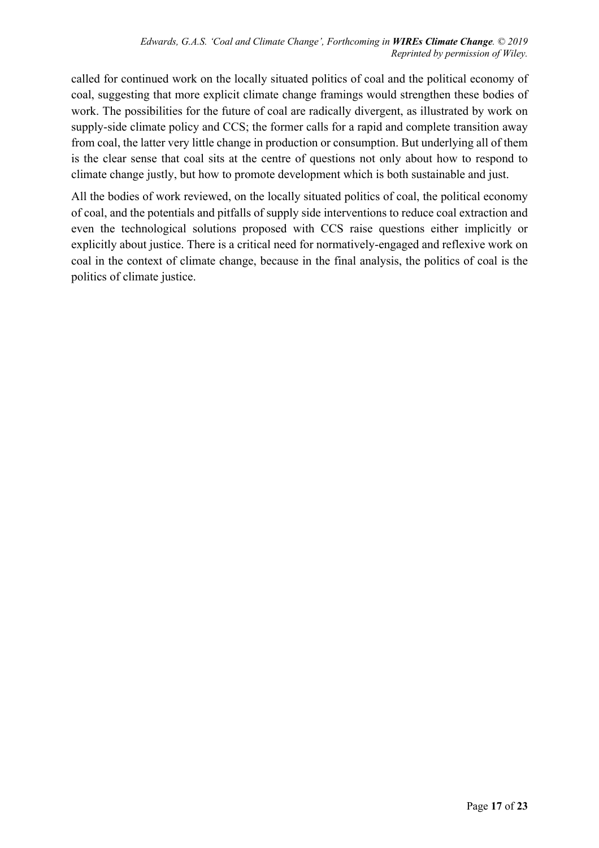called for continued work on the locally situated politics of coal and the political economy of coal, suggesting that more explicit climate change framings would strengthen these bodies of work. The possibilities for the future of coal are radically divergent, as illustrated by work on supply-side climate policy and CCS; the former calls for a rapid and complete transition away from coal, the latter very little change in production or consumption. But underlying all of them is the clear sense that coal sits at the centre of questions not only about how to respond to climate change justly, but how to promote development which is both sustainable and just.

All the bodies of work reviewed, on the locally situated politics of coal, the political economy of coal, and the potentials and pitfalls of supply side interventions to reduce coal extraction and even the technological solutions proposed with CCS raise questions either implicitly or explicitly about justice. There is a critical need for normatively-engaged and reflexive work on coal in the context of climate change, because in the final analysis, the politics of coal is the politics of climate justice.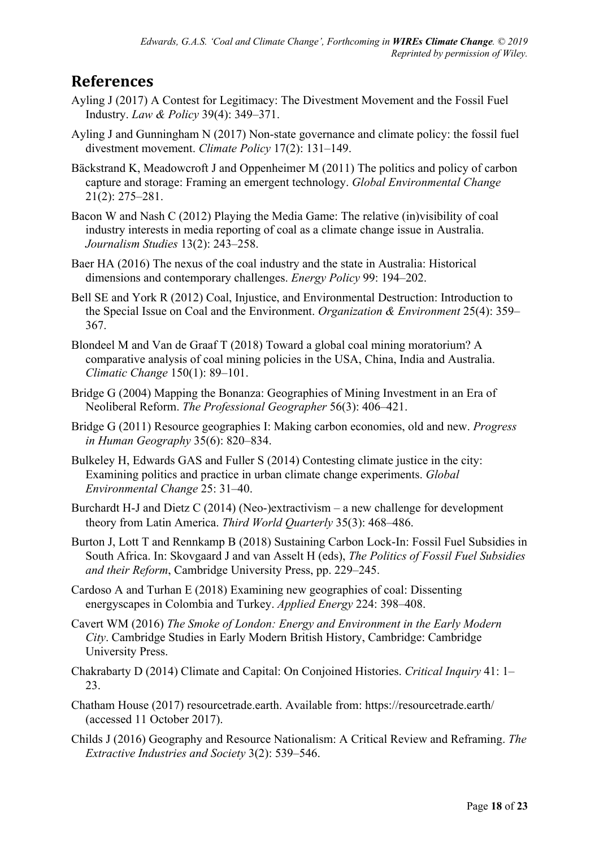# **References**

- Ayling J (2017) A Contest for Legitimacy: The Divestment Movement and the Fossil Fuel Industry. *Law & Policy* 39(4): 349–371.
- Ayling J and Gunningham N (2017) Non-state governance and climate policy: the fossil fuel divestment movement. *Climate Policy* 17(2): 131–149.
- Bäckstrand K, Meadowcroft J and Oppenheimer M (2011) The politics and policy of carbon capture and storage: Framing an emergent technology. *Global Environmental Change* 21(2): 275–281.
- Bacon W and Nash C (2012) Playing the Media Game: The relative (in)visibility of coal industry interests in media reporting of coal as a climate change issue in Australia. *Journalism Studies* 13(2): 243–258.
- Baer HA (2016) The nexus of the coal industry and the state in Australia: Historical dimensions and contemporary challenges. *Energy Policy* 99: 194–202.
- Bell SE and York R (2012) Coal, Injustice, and Environmental Destruction: Introduction to the Special Issue on Coal and the Environment. *Organization & Environment* 25(4): 359– 367.
- Blondeel M and Van de Graaf T (2018) Toward a global coal mining moratorium? A comparative analysis of coal mining policies in the USA, China, India and Australia. *Climatic Change* 150(1): 89–101.
- Bridge G (2004) Mapping the Bonanza: Geographies of Mining Investment in an Era of Neoliberal Reform. *The Professional Geographer* 56(3): 406–421.
- Bridge G (2011) Resource geographies I: Making carbon economies, old and new. *Progress in Human Geography* 35(6): 820–834.
- Bulkeley H, Edwards GAS and Fuller S (2014) Contesting climate justice in the city: Examining politics and practice in urban climate change experiments. *Global Environmental Change* 25: 31–40.
- Burchardt H-J and Dietz C (2014) (Neo-)extractivism a new challenge for development theory from Latin America. *Third World Quarterly* 35(3): 468–486.
- Burton J, Lott T and Rennkamp B (2018) Sustaining Carbon Lock-In: Fossil Fuel Subsidies in South Africa. In: Skovgaard J and van Asselt H (eds), *The Politics of Fossil Fuel Subsidies and their Reform*, Cambridge University Press, pp. 229–245.
- Cardoso A and Turhan E (2018) Examining new geographies of coal: Dissenting energyscapes in Colombia and Turkey. *Applied Energy* 224: 398–408.
- Cavert WM (2016) *The Smoke of London: Energy and Environment in the Early Modern City*. Cambridge Studies in Early Modern British History, Cambridge: Cambridge University Press.
- Chakrabarty D (2014) Climate and Capital: On Conjoined Histories. *Critical Inquiry* 41: 1– 23.
- Chatham House (2017) resourcetrade.earth. Available from: https://resourcetrade.earth/ (accessed 11 October 2017).
- Childs J (2016) Geography and Resource Nationalism: A Critical Review and Reframing. *The Extractive Industries and Society* 3(2): 539–546.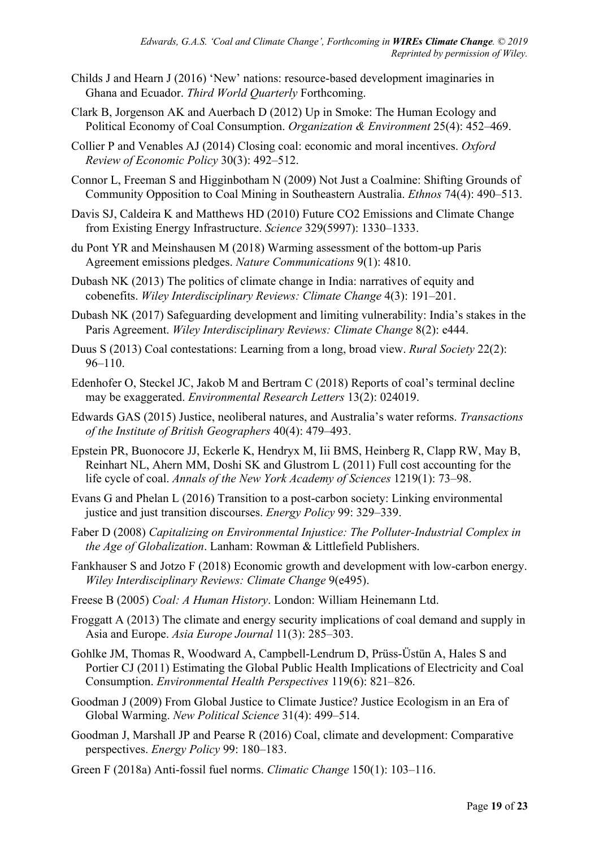- Childs J and Hearn J (2016) 'New' nations: resource-based development imaginaries in Ghana and Ecuador. *Third World Quarterly* Forthcoming.
- Clark B, Jorgenson AK and Auerbach D (2012) Up in Smoke: The Human Ecology and Political Economy of Coal Consumption. *Organization & Environment* 25(4): 452–469.
- Collier P and Venables AJ (2014) Closing coal: economic and moral incentives. *Oxford Review of Economic Policy* 30(3): 492–512.
- Connor L, Freeman S and Higginbotham N (2009) Not Just a Coalmine: Shifting Grounds of Community Opposition to Coal Mining in Southeastern Australia. *Ethnos* 74(4): 490–513.
- Davis SJ, Caldeira K and Matthews HD (2010) Future CO2 Emissions and Climate Change from Existing Energy Infrastructure. *Science* 329(5997): 1330–1333.
- du Pont YR and Meinshausen M (2018) Warming assessment of the bottom-up Paris Agreement emissions pledges. *Nature Communications* 9(1): 4810.
- Dubash NK (2013) The politics of climate change in India: narratives of equity and cobenefits. *Wiley Interdisciplinary Reviews: Climate Change* 4(3): 191–201.
- Dubash NK (2017) Safeguarding development and limiting vulnerability: India's stakes in the Paris Agreement. *Wiley Interdisciplinary Reviews: Climate Change* 8(2): e444.
- Duus S (2013) Coal contestations: Learning from a long, broad view. *Rural Society* 22(2): 96–110.
- Edenhofer O, Steckel JC, Jakob M and Bertram C (2018) Reports of coal's terminal decline may be exaggerated. *Environmental Research Letters* 13(2): 024019.
- Edwards GAS (2015) Justice, neoliberal natures, and Australia's water reforms. *Transactions of the Institute of British Geographers* 40(4): 479–493.
- Epstein PR, Buonocore JJ, Eckerle K, Hendryx M, Iii BMS, Heinberg R, Clapp RW, May B, Reinhart NL, Ahern MM, Doshi SK and Glustrom L (2011) Full cost accounting for the life cycle of coal. *Annals of the New York Academy of Sciences* 1219(1): 73–98.
- Evans G and Phelan L (2016) Transition to a post-carbon society: Linking environmental justice and just transition discourses. *Energy Policy* 99: 329–339.
- Faber D (2008) *Capitalizing on Environmental Injustice: The Polluter-Industrial Complex in the Age of Globalization*. Lanham: Rowman & Littlefield Publishers.
- Fankhauser S and Jotzo F (2018) Economic growth and development with low-carbon energy. *Wiley Interdisciplinary Reviews: Climate Change* 9(e495).
- Freese B (2005) *Coal: A Human History*. London: William Heinemann Ltd.
- Froggatt A (2013) The climate and energy security implications of coal demand and supply in Asia and Europe. *Asia Europe Journal* 11(3): 285–303.
- Gohlke JM, Thomas R, Woodward A, Campbell-Lendrum D, Prüss-Üstün A, Hales S and Portier CJ (2011) Estimating the Global Public Health Implications of Electricity and Coal Consumption. *Environmental Health Perspectives* 119(6): 821–826.
- Goodman J (2009) From Global Justice to Climate Justice? Justice Ecologism in an Era of Global Warming. *New Political Science* 31(4): 499–514.
- Goodman J, Marshall JP and Pearse R (2016) Coal, climate and development: Comparative perspectives. *Energy Policy* 99: 180–183.
- Green F (2018a) Anti-fossil fuel norms. *Climatic Change* 150(1): 103–116.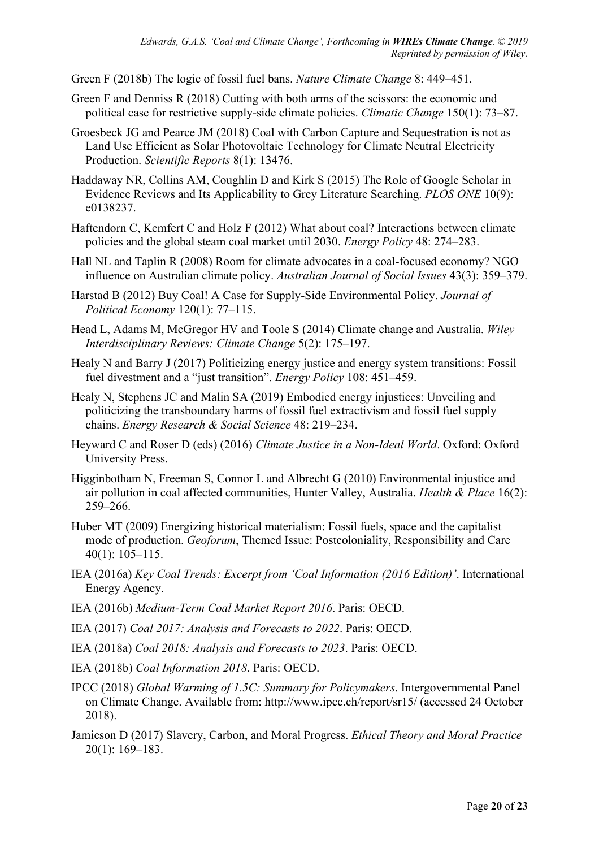Green F (2018b) The logic of fossil fuel bans. *Nature Climate Change* 8: 449–451.

- Green F and Denniss R (2018) Cutting with both arms of the scissors: the economic and political case for restrictive supply-side climate policies. *Climatic Change* 150(1): 73–87.
- Groesbeck JG and Pearce JM (2018) Coal with Carbon Capture and Sequestration is not as Land Use Efficient as Solar Photovoltaic Technology for Climate Neutral Electricity Production. *Scientific Reports* 8(1): 13476.
- Haddaway NR, Collins AM, Coughlin D and Kirk S (2015) The Role of Google Scholar in Evidence Reviews and Its Applicability to Grey Literature Searching. *PLOS ONE* 10(9): e0138237.
- Haftendorn C, Kemfert C and Holz F (2012) What about coal? Interactions between climate policies and the global steam coal market until 2030. *Energy Policy* 48: 274–283.
- Hall NL and Taplin R (2008) Room for climate advocates in a coal-focused economy? NGO influence on Australian climate policy. *Australian Journal of Social Issues* 43(3): 359–379.
- Harstad B (2012) Buy Coal! A Case for Supply-Side Environmental Policy. *Journal of Political Economy* 120(1): 77–115.
- Head L, Adams M, McGregor HV and Toole S (2014) Climate change and Australia. *Wiley Interdisciplinary Reviews: Climate Change* 5(2): 175–197.
- Healy N and Barry J (2017) Politicizing energy justice and energy system transitions: Fossil fuel divestment and a "just transition". *Energy Policy* 108: 451–459.
- Healy N, Stephens JC and Malin SA (2019) Embodied energy injustices: Unveiling and politicizing the transboundary harms of fossil fuel extractivism and fossil fuel supply chains. *Energy Research & Social Science* 48: 219–234.
- Heyward C and Roser D (eds) (2016) *Climate Justice in a Non-Ideal World*. Oxford: Oxford University Press.
- Higginbotham N, Freeman S, Connor L and Albrecht G (2010) Environmental injustice and air pollution in coal affected communities, Hunter Valley, Australia. *Health & Place* 16(2): 259–266.
- Huber MT (2009) Energizing historical materialism: Fossil fuels, space and the capitalist mode of production. *Geoforum*, Themed Issue: Postcoloniality, Responsibility and Care 40(1): 105–115.
- IEA (2016a) *Key Coal Trends: Excerpt from 'Coal Information (2016 Edition)'*. International Energy Agency.
- IEA (2016b) *Medium-Term Coal Market Report 2016*. Paris: OECD.
- IEA (2017) *Coal 2017: Analysis and Forecasts to 2022*. Paris: OECD.
- IEA (2018a) *Coal 2018: Analysis and Forecasts to 2023*. Paris: OECD.
- IEA (2018b) *Coal Information 2018*. Paris: OECD.
- IPCC (2018) *Global Warming of 1.5C: Summary for Policymakers*. Intergovernmental Panel on Climate Change. Available from: http://www.ipcc.ch/report/sr15/ (accessed 24 October 2018).
- Jamieson D (2017) Slavery, Carbon, and Moral Progress. *Ethical Theory and Moral Practice* 20(1): 169–183.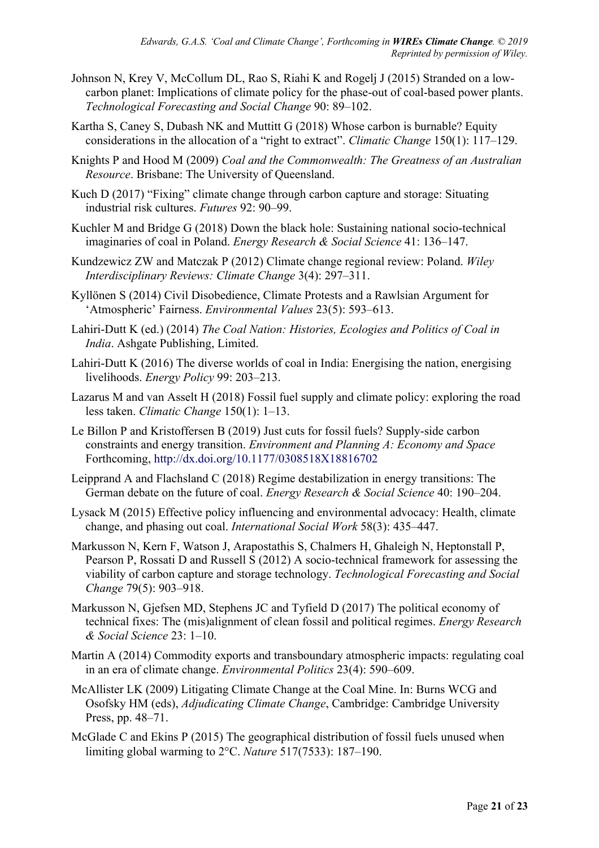- Johnson N, Krey V, McCollum DL, Rao S, Riahi K and Rogelj J (2015) Stranded on a lowcarbon planet: Implications of climate policy for the phase-out of coal-based power plants. *Technological Forecasting and Social Change* 90: 89–102.
- Kartha S, Caney S, Dubash NK and Muttitt G (2018) Whose carbon is burnable? Equity considerations in the allocation of a "right to extract". *Climatic Change* 150(1): 117–129.
- Knights P and Hood M (2009) *Coal and the Commonwealth: The Greatness of an Australian Resource*. Brisbane: The University of Queensland.
- Kuch D (2017) "Fixing" climate change through carbon capture and storage: Situating industrial risk cultures. *Futures* 92: 90–99.
- Kuchler M and Bridge G (2018) Down the black hole: Sustaining national socio-technical imaginaries of coal in Poland. *Energy Research & Social Science* 41: 136–147.
- Kundzewicz ZW and Matczak P (2012) Climate change regional review: Poland. *Wiley Interdisciplinary Reviews: Climate Change* 3(4): 297–311.
- Kyllönen S (2014) Civil Disobedience, Climate Protests and a Rawlsian Argument for 'Atmospheric' Fairness. *Environmental Values* 23(5): 593–613.
- Lahiri-Dutt K (ed.) (2014) *The Coal Nation: Histories, Ecologies and Politics of Coal in India*. Ashgate Publishing, Limited.
- Lahiri-Dutt K (2016) The diverse worlds of coal in India: Energising the nation, energising livelihoods. *Energy Policy* 99: 203–213.
- Lazarus M and van Asselt H (2018) Fossil fuel supply and climate policy: exploring the road less taken. *Climatic Change* 150(1): 1–13.
- Le Billon P and Kristoffersen B (2019) Just cuts for fossil fuels? Supply-side carbon constraints and energy transition. *Environment and Planning A: Economy and Space* Forthcoming, http://dx.doi.org/10.1177/0308518X18816702
- Leipprand A and Flachsland C (2018) Regime destabilization in energy transitions: The German debate on the future of coal. *Energy Research & Social Science* 40: 190–204.
- Lysack M (2015) Effective policy influencing and environmental advocacy: Health, climate change, and phasing out coal. *International Social Work* 58(3): 435–447.
- Markusson N, Kern F, Watson J, Arapostathis S, Chalmers H, Ghaleigh N, Heptonstall P, Pearson P, Rossati D and Russell S (2012) A socio-technical framework for assessing the viability of carbon capture and storage technology. *Technological Forecasting and Social Change* 79(5): 903–918.
- Markusson N, Gjefsen MD, Stephens JC and Tyfield D (2017) The political economy of technical fixes: The (mis)alignment of clean fossil and political regimes. *Energy Research & Social Science* 23: 1–10.
- Martin A (2014) Commodity exports and transboundary atmospheric impacts: regulating coal in an era of climate change. *Environmental Politics* 23(4): 590–609.
- McAllister LK (2009) Litigating Climate Change at the Coal Mine. In: Burns WCG and Osofsky HM (eds), *Adjudicating Climate Change*, Cambridge: Cambridge University Press, pp. 48–71.
- McGlade C and Ekins P (2015) The geographical distribution of fossil fuels unused when limiting global warming to 2°C. *Nature* 517(7533): 187–190.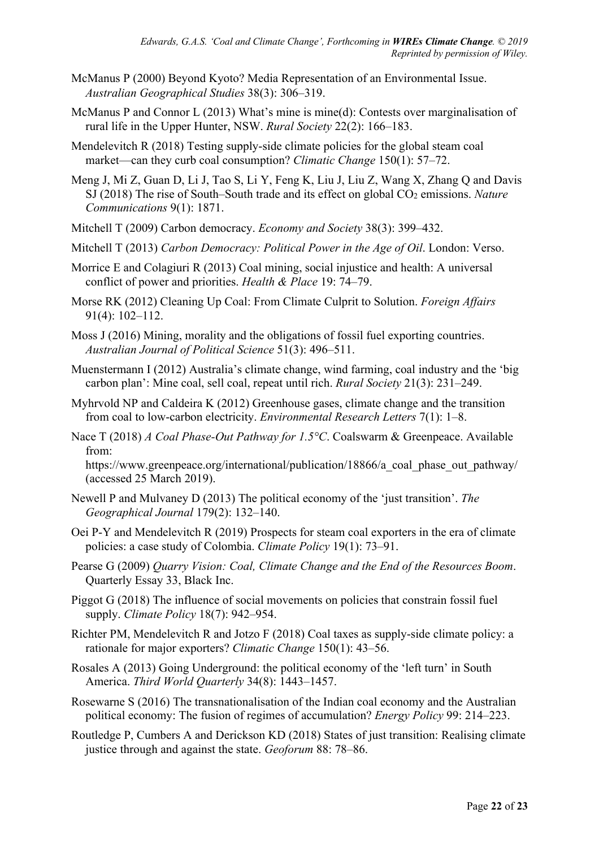- McManus P (2000) Beyond Kyoto? Media Representation of an Environmental Issue. *Australian Geographical Studies* 38(3): 306–319.
- McManus P and Connor L (2013) What's mine is mine(d): Contests over marginalisation of rural life in the Upper Hunter, NSW. *Rural Society* 22(2): 166–183.
- Mendelevitch R (2018) Testing supply-side climate policies for the global steam coal market—can they curb coal consumption? *Climatic Change* 150(1): 57–72.
- Meng J, Mi Z, Guan D, Li J, Tao S, Li Y, Feng K, Liu J, Liu Z, Wang X, Zhang Q and Davis SJ (2018) The rise of South–South trade and its effect on global CO<sub>2</sub> emissions. *Nature Communications* 9(1): 1871.
- Mitchell T (2009) Carbon democracy. *Economy and Society* 38(3): 399–432.
- Mitchell T (2013) *Carbon Democracy: Political Power in the Age of Oil*. London: Verso.
- Morrice E and Colagiuri R (2013) Coal mining, social injustice and health: A universal conflict of power and priorities. *Health & Place* 19: 74–79.
- Morse RK (2012) Cleaning Up Coal: From Climate Culprit to Solution. *Foreign Affairs* 91(4): 102–112.
- Moss J (2016) Mining, morality and the obligations of fossil fuel exporting countries. *Australian Journal of Political Science* 51(3): 496–511.
- Muenstermann I (2012) Australia's climate change, wind farming, coal industry and the 'big carbon plan': Mine coal, sell coal, repeat until rich. *Rural Society* 21(3): 231–249.
- Myhrvold NP and Caldeira K (2012) Greenhouse gases, climate change and the transition from coal to low-carbon electricity. *Environmental Research Letters* 7(1): 1–8.
- Nace T (2018) *A Coal Phase-Out Pathway for 1.5°C*. Coalswarm & Greenpeace. Available from:

https://www.greenpeace.org/international/publication/18866/a coal phase out pathway/ (accessed 25 March 2019).

- Newell P and Mulvaney D (2013) The political economy of the 'just transition'. *The Geographical Journal* 179(2): 132–140.
- Oei P-Y and Mendelevitch R (2019) Prospects for steam coal exporters in the era of climate policies: a case study of Colombia. *Climate Policy* 19(1): 73–91.
- Pearse G (2009) *Quarry Vision: Coal, Climate Change and the End of the Resources Boom*. Quarterly Essay 33, Black Inc.
- Piggot G (2018) The influence of social movements on policies that constrain fossil fuel supply. *Climate Policy* 18(7): 942–954.
- Richter PM, Mendelevitch R and Jotzo F (2018) Coal taxes as supply-side climate policy: a rationale for major exporters? *Climatic Change* 150(1): 43–56.
- Rosales A (2013) Going Underground: the political economy of the 'left turn' in South America. *Third World Quarterly* 34(8): 1443–1457.
- Rosewarne S (2016) The transnationalisation of the Indian coal economy and the Australian political economy: The fusion of regimes of accumulation? *Energy Policy* 99: 214–223.
- Routledge P, Cumbers A and Derickson KD (2018) States of just transition: Realising climate justice through and against the state. *Geoforum* 88: 78–86.